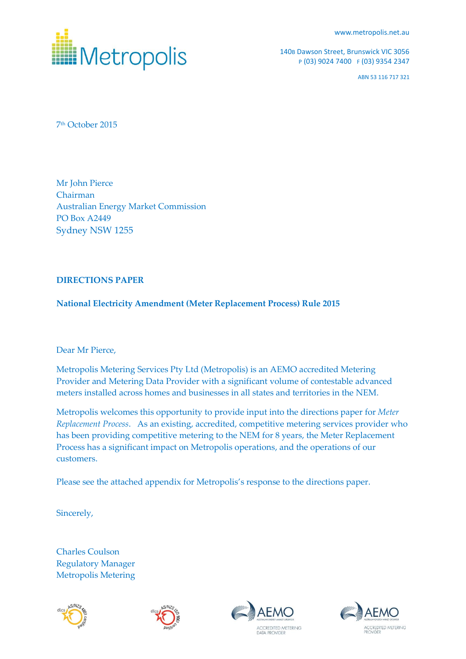[www.metropolis.net.au](http://www.metropolis.net.au/)



140B Dawson Street, Brunswick VIC 3056 P (03) 9024 7400 F (03) 9354 2347

ABN 53 116 717 321

7 th October 2015

Mr John Pierce Chairman Australian Energy Market Commission PO Box A2449 Sydney NSW 1255

### **DIRECTIONS PAPER**

### **National Electricity Amendment (Meter Replacement Process) Rule 2015**

Dear Mr Pierce,

Metropolis Metering Services Pty Ltd (Metropolis) is an AEMO accredited Metering Provider and Metering Data Provider with a significant volume of contestable advanced meters installed across homes and businesses in all states and territories in the NEM.

Metropolis welcomes this opportunity to provide input into the directions paper for *Meter Replacement Process*. As an existing, accredited, competitive metering services provider who has been providing competitive metering to the NEM for 8 years, the Meter Replacement Process has a significant impact on Metropolis operations, and the operations of our customers.

Please see the attached appendix for Metropolis's response to the directions paper.

Sincerely,

Charles Coulson Regulatory Manager Metropolis Metering







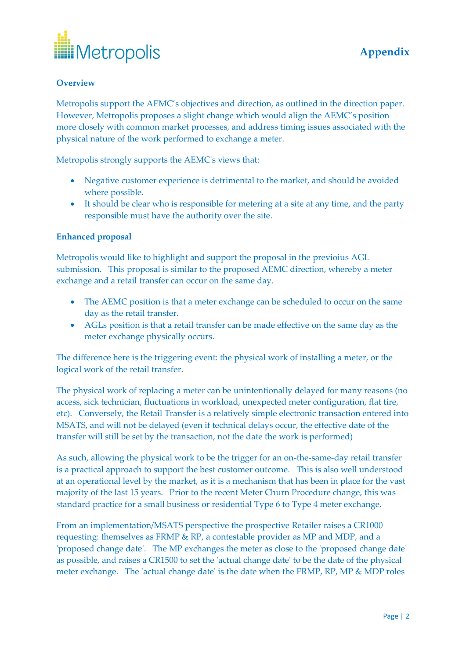

# **Overview**

Metropolis support the AEMC's objectives and direction, as outlined in the direction paper. However, Metropolis proposes a slight change which would align the AEMC's position more closely with common market processes, and address timing issues associated with the physical nature of the work performed to exchange a meter.

Metropolis strongly supports the AEMC's views that:

- Negative customer experience is detrimental to the market, and should be avoided where possible.
- It should be clear who is responsible for metering at a site at any time, and the party responsible must have the authority over the site.

#### **Enhanced proposal**

Metropolis would like to highlight and support the proposal in the previoius AGL submission. This proposal is similar to the proposed AEMC direction, whereby a meter exchange and a retail transfer can occur on the same day.

- The AEMC position is that a meter exchange can be scheduled to occur on the same day as the retail transfer.
- AGLs position is that a retail transfer can be made effective on the same day as the meter exchange physically occurs.

The difference here is the triggering event: the physical work of installing a meter, or the logical work of the retail transfer.

The physical work of replacing a meter can be unintentionally delayed for many reasons (no access, sick technician, fluctuations in workload, unexpected meter configuration, flat tire, etc). Conversely, the Retail Transfer is a relatively simple electronic transaction entered into MSATS, and will not be delayed (even if technical delays occur, the effective date of the transfer will still be set by the transaction, not the date the work is performed)

As such, allowing the physical work to be the trigger for an on-the-same-day retail transfer is a practical approach to support the best customer outcome. This is also well understood at an operational level by the market, as it is a mechanism that has been in place for the vast majority of the last 15 years. Prior to the recent Meter Churn Procedure change, this was standard practice for a small business or residential Type 6 to Type 4 meter exchange.

From an implementation/MSATS perspective the prospective Retailer raises a CR1000 requesting: themselves as FRMP & RP, a contestable provider as MP and MDP, and a 'proposed change date'. The MP exchanges the meter as close to the 'proposed change date' as possible, and raises a CR1500 to set the 'actual change date' to be the date of the physical meter exchange. The 'actual change date' is the date when the FRMP, RP, MP & MDP roles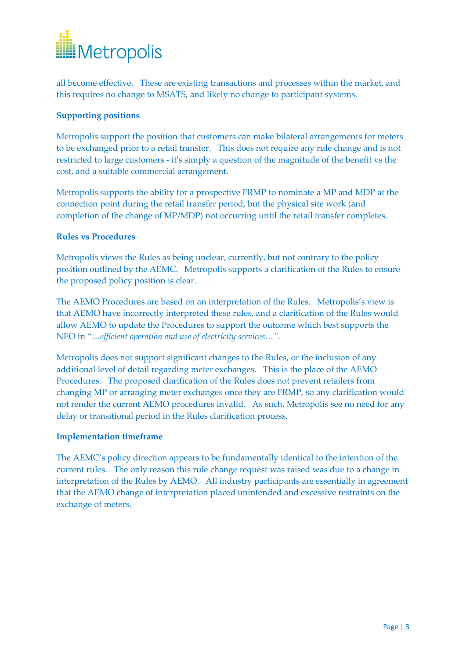

all become effective. These are existing transactions and processes within the market, and this requires no change to MSATS, and likely no change to participant systems.

### **Supporting positions**

Metropolis support the position that customers can make bilateral arrangements for meters to be exchanged prior to a retail transfer. This does not require any rule change and is not restricted to large customers - it's simply a question of the magnitude of the benefit vs the cost, and a suitable commercial arrangement.

Metropolis supports the ability for a prospective FRMP to nominate a MP and MDP at the connection point during the retail transfer period, but the physical site work (and completion of the change of MP/MDP) not occurring until the retail transfer completes.

#### **Rules vs Procedures**

Metropolis views the Rules as being unclear, currently, but not contrary to the policy position outlined by the AEMC. Metropolis supports a clarification of the Rules to ensure the proposed policy position is clear.

The AEMO Procedures are based on an interpretation of the Rules. Metropolis's view is that AEMO have incorrectly interpreted these rules, and a clarification of the Rules would allow AEMO to update the Procedures to support the outcome which best supports the NEO in "…*efficient operation and use of electricity services…"*.

Metropolis does not support significant changes to the Rules, or the inclusion of any additional level of detail regarding meter exchanges. This is the place of the AEMO Procedures. The proposed clarification of the Rules does not prevent retailers from changing MP or arranging meter exchanges once they are FRMP, so any clarification would not render the current AEMO procedures invalid. As such, Metropolis see no need for any delay or transitional period in the Rules clarification process.

#### **Implementation timeframe**

The AEMC's policy direction appears to be fundamentally identical to the intention of the current rules. The only reason this rule change request was raised was due to a change in interpretation of the Rules by AEMO. All industry participants are essentially in agreement that the AEMO change of interpretation placed unintended and excessive restraints on the exchange of meters.